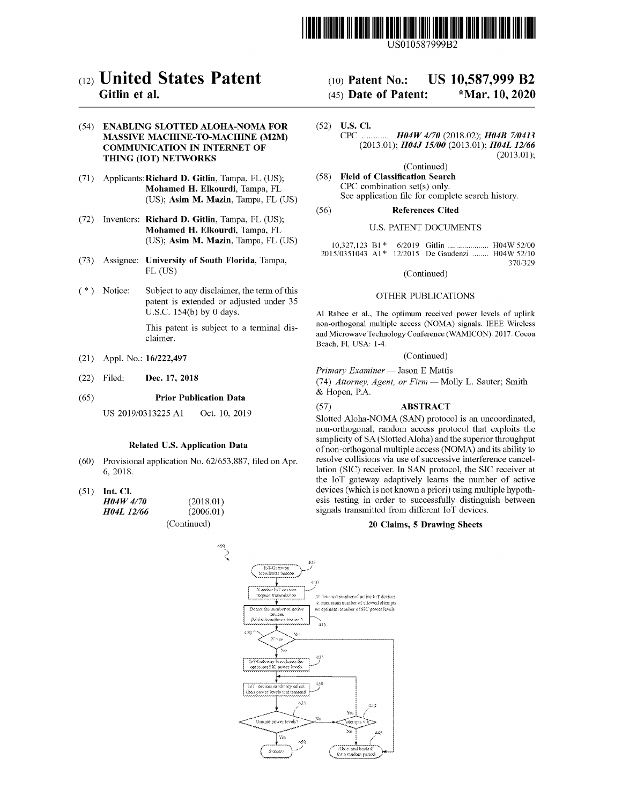

USOI0587999B2

# (12) United States Patent

# Gitlin et al.

# (54) ENABLING SLOTTED ALOHA-NOMA FOR MASSIVE MACHINE-TO-MACHINE (M2M) COMMUNICATION IN INTERNET OF THING (IOT) NETWORKS

- (71) Applicants:Richard D. Gitlin, Tampa, FL (US); Mohamed H. Elkourdi, Tampa, FL (US); Asim M. Mazin, Tampa, FL (US)
- (72) Inventors: Richard D. Gitlin, Tampa, FL (US); Mohamed H. Elkourdi, Tampa, FL (US); Asim M. Mazin, Tampa, FL (US)
- (73) Assignee: University of South Florida, Tampa, FL (US)
- (\*) Notice: Subject to any disclaimer, the term of this patent is extended or adjusted under 35 U.S.c. 154(b) by 0 days.

This patent is subject to a terminal disclaimer.

- (21) Appl. No.: *161222,497*
- (22) Filed: Dec. 17, 2018
- Prior Publication Data (65)

Oct. 10, 2019 US 2019/0313225 A1

#### Related U.S. Application Data

- Provisional application No. 62/653,887, filed on Apr. (60) 6,2018.
- $(51)$  Int. Cl.

(2018.01) (2006.01) (Continued) *H04W 4/70 H04L 12/66*

# (10) Patent No.: US 10,587,999 B2

# (45) Date of Patent: \*Mar. 10,2020

(52) U.S. Cl. CPC *H04W 4/70* (2018.02); *H04B 7/0413* (2013.01); *H04J 15/00* (2013.01); *H04L 12/66* (2013.01);

(Continued)

(58) Field of Classification Search CPC combination set(s) only. See application file for complete search history.

#### (56) References Cited

#### U.S. PATENT DOCUMENTS

10,327,123 B1 \* 6/2019 Gitlin ..................... H04W 52/00 2015/0351043 A1\* 12/2015 De Gaudenzi ........ H04W 52/10 370/329

(Continued)

#### OTHER PUBLICATIONS

Al Rabee et aI., The optimum received power levels of uplink non-orthogonal multiple access (NOMA) signals. IEEE Wireless and Microwave Technology Conference (WAMICON). 2017. Cocoa Beach, Fl, USA: 1-4.

#### (Continued)

*Primary Examiner* - Jason E Mattis

*(74) Attorney, Agent, or Firm* - Molly L. Sauter; Smith & Hopen, P.A.

#### (57) ABSTRACT

Slotted Aloha-NOMA (SAN) protocol is an uncoordinated, non-orthogonal, random access protocol that exploits the simplicity of SA (Slotted Aloha) and the superior throughput of non-orthogonal multiple access (NOMA) and its ability to resolve collisions via use of successive interference cancellation (SIC) receiver. In SAN protocol, the SIC receiver at the loT gateway adaptively learns the number of active devices (which is not known a priori) using multiple hypothesis testing in order to successfully distinguish between signals transmitted from different loT devices.

## 20 Claims, 5 Drawing Sheets

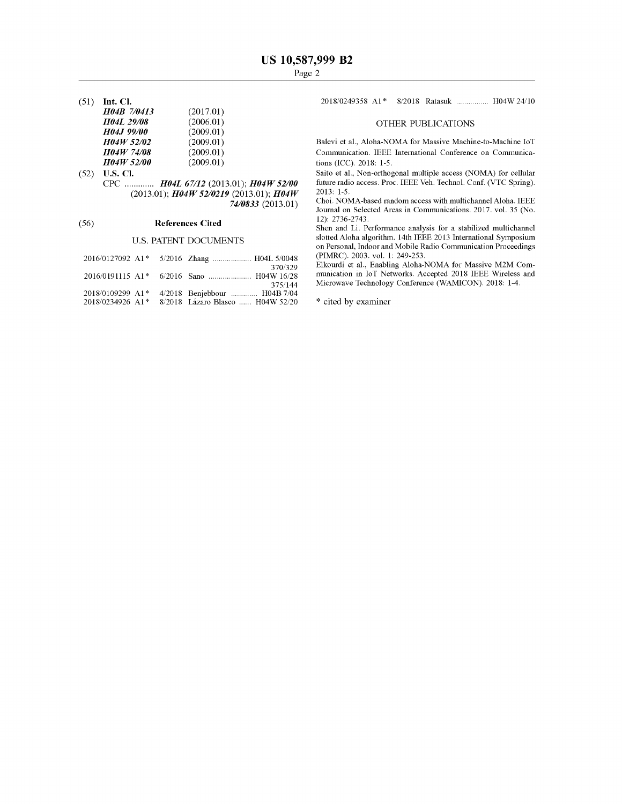(51) **Int. Cl.**

| H04B 7/0413       | (2017.01) |
|-------------------|-----------|
| <b>H04L 29/08</b> | (2006.01) |
| H04J 99/00        | (2009.01) |
| H04W 52/02        | (2009.01) |
| <b>H04W 74/08</b> | (2009.01) |
| <b>H04W 52/00</b> | (2009.01) |

(52) **U.S. Cl.** CPC *H04L* 67/12 (2013.01); *H04W 52/00* (2013.01); *H04W 52/0219* (2013.01); *H04W 74/0833* (2013.01)

# (56) **References Cited**

# u.s. PATENT DOCUMENTS

|                                                     | 2016/0127092 A1* 5/2016 Zhang  H04L 5/0048                       |
|-----------------------------------------------------|------------------------------------------------------------------|
|                                                     | 370/329                                                          |
|                                                     | 375/144                                                          |
| 2018/0109299 A1*<br>$2018/0234926$ A <sub>1</sub> * | 4/2018 Benjebbour  H04B 7/04<br>8/2018 Lázaro Blasco  H04W 52/20 |

2018/0249358 A1\* 8/2018 Ratasuk ................ H04W 24/10

# OTHER PUBLICATIONS

Balevi et aI., Aloha-NOMA for Massive Machine-to-Machine loT Communication. IEEE International Conference on Communications (ICC). 2018: 1-5.

Saito et aI., Non-orthogonal multiple access (NOMA) for cellular future radio access. Proc. IEEE Veh. Technol. Conf. (VTC Spring). 2013: 1-5.

Choi. NOMA-based random access with multichannel Aloha. IEEE Journal on Selected Areas in Communications. 2017. vol. 35 (No. 12): 2736-2743.

Shen and Li. Performance analysis for a stabilized multichannel slotted Aloha algorithm. 14th IEEE 2013 International Symposium on Personal, Indoor and Mobile Radio Communication Proceedings (PIMRC). 2003. vol. 1: 249-253.

Elkourdi et al., Enabling Aloha-NOMA for Massive M2M Communication in loT Networks. Accepted 2018 IEEE Wireless and Microwave Technology Conference (WAMICON). 2018: 1-4.

\* cited by examiner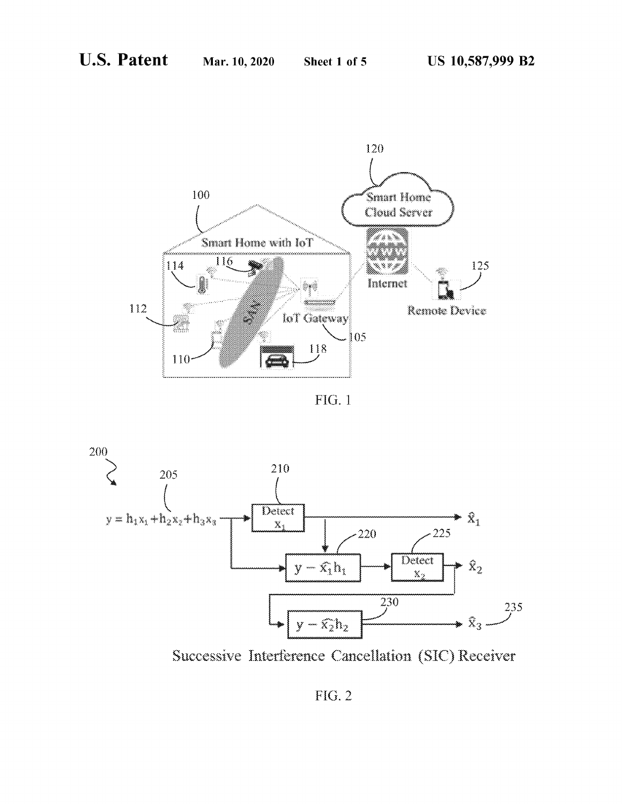

FIG. 1



Successive Interference Cancellation (SIC) Receiver

**FIG. 2**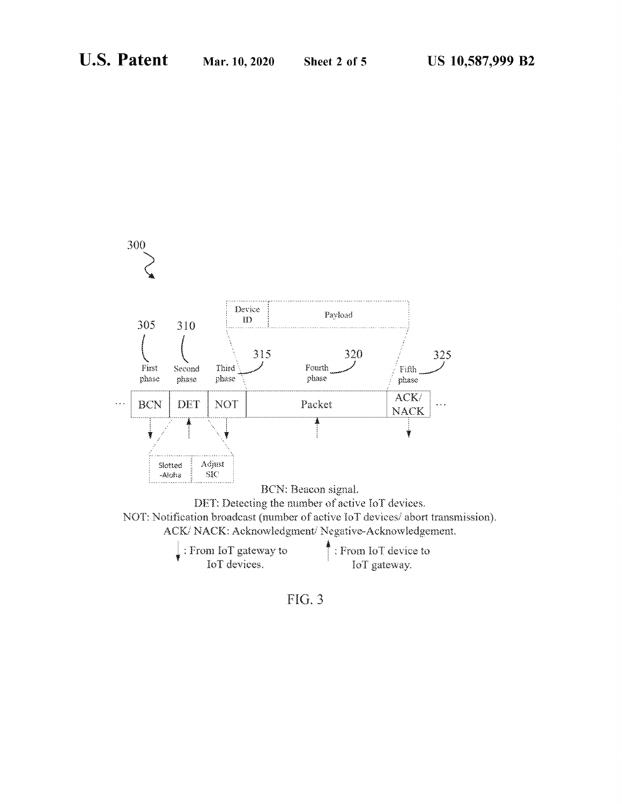



FIG. 3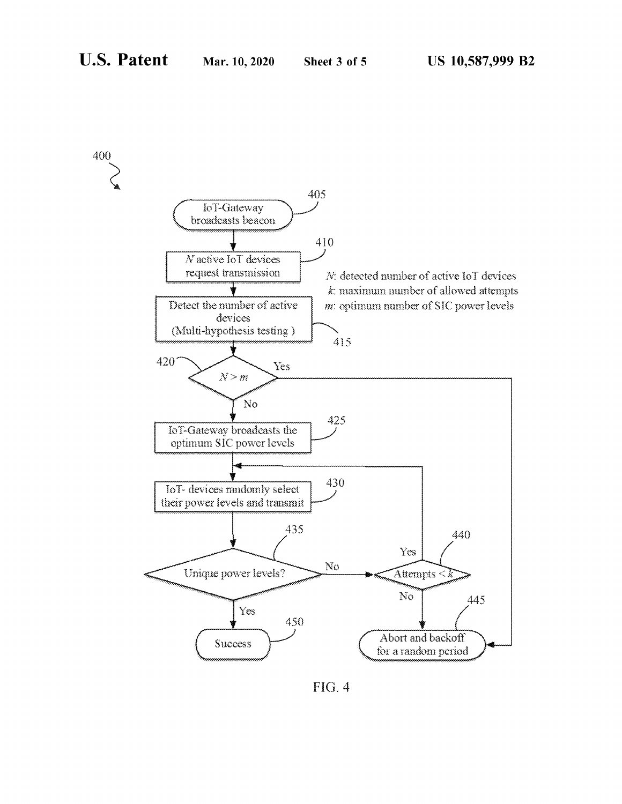

FIG. 4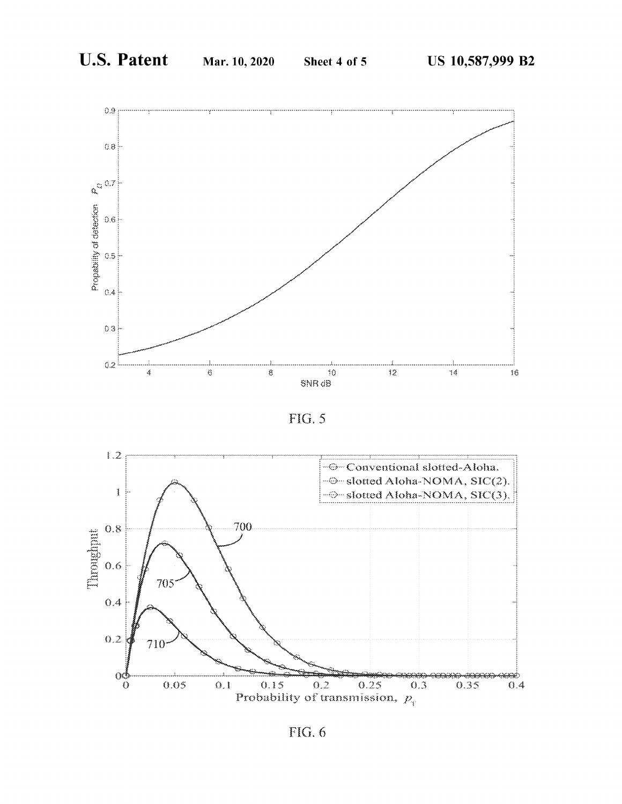





FIG. 6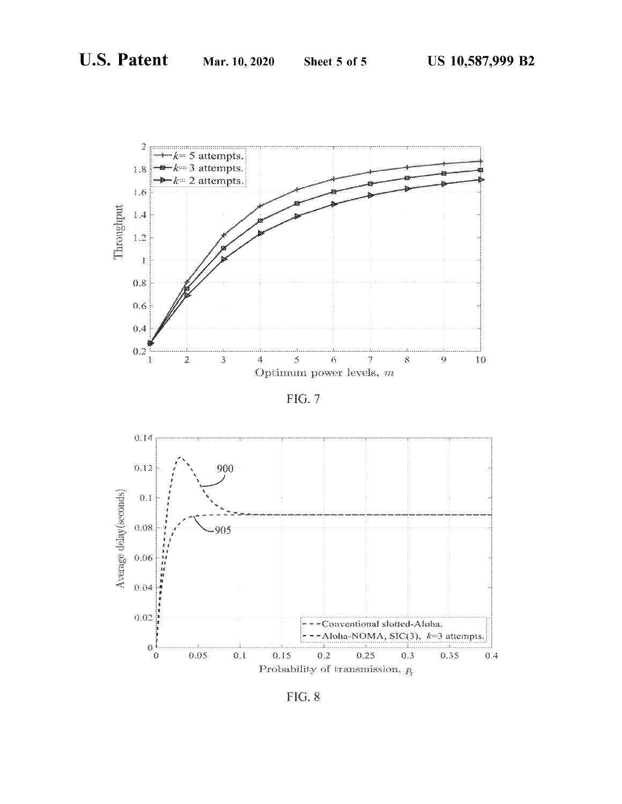

FIG. 7



**FIG. 8**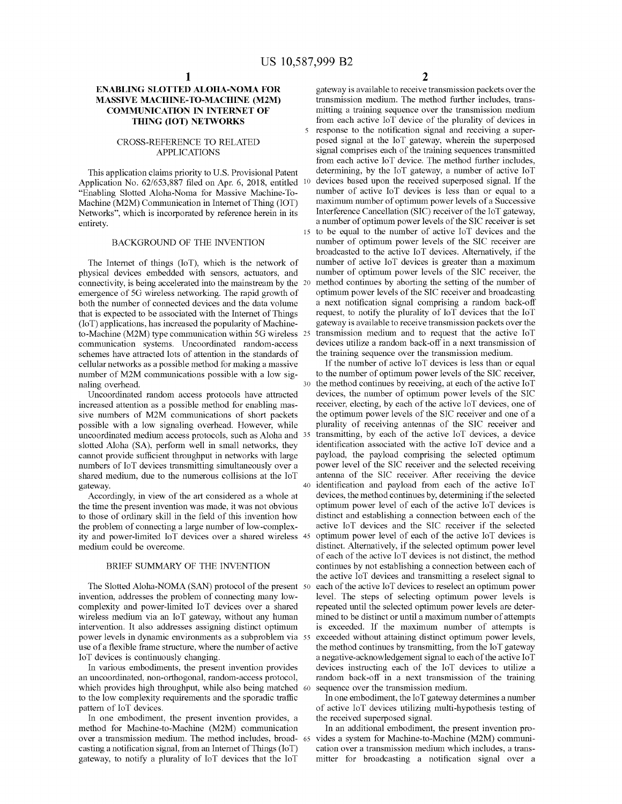$\overline{\phantom{a}}$ 

# **ENABLING SLOTTED ALOHA-NOMA FOR MASSIVE MACHINE-TO-MACHINE (M2M) COMMUNICATION IN INTERNET OF THING (lOT) NETWORKS**

#### CROSS-REFERENCE TO RELATED APPLICATIONS

This application claims priority to U.S. Provisional Patent Application No.  $62/653,887$  filed on Apr. 6, 2018, entitled  $10$ "Enabling Slotted Aloha-Noma for Massive Machine-To-Machine (M2M) Communication in Internet of Thing (IOT) Networks", which is incorporated by reference herein in its entirety.

## BACKGROUND OF THE INVENTION

The Internet of things (loT), which is the network of physical devices embedded with sensors, actuators, and connectivity, is being accelerated into the mainstream by the emergence of 5G wireless networking. The rapid growth of both the number of connected devices and the data volume that is expected to be associated with the Internet of Things (loT) applications, has increased the popularity of Machineto-Machine (M2M) type communication within 5G wireless communication systems. Uncoordinated random-access schemes have attracted lots of attention in the standards of cellular networks as a possible method for making a massive number of M2M communications possible with a low signaling overhead.

Uncoordinated random access protocols have attracted increased attention as a possible method for enabling massive numbers of M2M communications of short packets possible with a low signaling overhead. However, while uncoordinated medium access protocols, such as Aloha and slotted Aloha (SA), perform well in small networks, they cannot provide sufficient throughput in networks with large numbers of loT devices transmitting simultaneously over a shared medium, due to the numerous collisions at the loT gateway.

Accordingly, in view of the art considered as a whole at the time the present invention was made, it was not obvious to those of ordinary skill in the field of this invention how the problem of connecting a large number of low-complexity and power-limited loT devices over a shared wireless medium could be overcome.

#### BRIEF SUMMARY OF THE INVENTION

The Slotted Aloha-NOMA (SAN) protocol of the present 50 invention, addresses the problem of connecting many lowcomplexity and power-limited loT devices over a shared wireless medium via an loT gateway, without any human intervention. It also addresses assigning distinct optimum power levels in dynamic environments as a subproblem via use of a flexible frame structure, where the number of active loT devices is continuously changing.

In various embodiments, the present invention provides an uncoordinated, non-orthogonal, random-access protocol, which provides high throughput, while also being matched 60 to the low complexity requirements and the sporadic traffic pattern of loT devices.

In one embodiment, the present invention provides, a method for Machine-to-Machine (M2M) communication over a transmission medium. The method includes, broadcasting a notification signal, from an Internet of Things  $(IoT)$ gateway, to notify a plurality of loT devices that the loT

2

gateway is available to receive transmission packets over the transmission medium. The method further includes, transmitting a training sequence over the transmission medium from each active loT device of the plurality of devices in response to the notification signal and receiving a superposed signal at the loT gateway, wherein the superposed signal comprises each of the training sequences transmitted from each active loT device. The method further includes, determining, by the loT gateway, a number of active loT devices based upon the received superposed signal. If the number of active loT devices is less than or equal to a maximum number of optimum power levels of a Successive Interference Cancellation (SIC) receiver of the IoT gateway, a number of optimum power levels of the SIC receiver is set <sup>15</sup> to be equal to the number of active loT devices and the number of optimum power levels of the SIC receiver are broadcasted to the active loT devices. Alternatively, if the number of active loT devices is greater than a maximum number of optimum power levels of the SIC receiver, the method continues by aborting the setting of the number of optimum power levels of the SIC receiver and broadcasting a next notification signal comprising a random back-off request, to notify the plurality of loT devices that the loT gateway is available to receive transmission packets over the transmission medium and to request that the active IoT devices utilize a random back-off in a next transmission of the training sequence over the transmission medium.

If the number of active IoT devices is less than or equal to the number of optimum power levels of the SIC receiver, the method continues by receiving, at each of the active  $I \circ T$ devices, the number of optimum power levels of the SIC receiver, electing, by each of the active IoT devices, one of the optimum power levels of the SIC receiver and one of a plurality of receiving antennas of the SIC receiver and transmitting, by each of the active IoT devices, a device identification associated with the active loT device and a payload, the payload comprising the selected optimum power level of the SIC receiver and the selected receiving antenna of the SIC receiver. After receiving the device <sup>40</sup> identification and payload from each of the active loT devices, the method continues by, determining if the selected optimum power level of each of the active loT devices is distinct and establishing a connection between each of the active loT devices and the SIC receiver if the selected optimum power level of each of the active IoT devices is distinct. Alternatively, if the selected optimum power level of each of the active IoT devices is not distinct, the method continues by not establishing a connection between each of the active loT devices and transmitting a reselect signal to each of the active IoT devices to reselect an optimum power level. The steps of selecting optimum power levels is repeated until the selected optimum power levels are determined to be distinct or until a maximum number of attempts is exceeded. If the maximum number of attempts is exceeded without attaining distinct optimum power levels, the method continues by transmitting, from the loT gateway a negative-acknowledgement signal to each of the active IoT devices instructing each of the loT devices to utilize a random back-off in a next transmission of the training sequence over the transmission medium.

In one embodiment, the 10T gateway determines a number of active loT devices utilizing multi-hypothesis testing of the received superposed signal.

In an additional embodiment, the present invention provides a system for Machine-to-Machine (M2M) communication over a transmission medium which includes, a transmitter for broadcasting a notification signal over a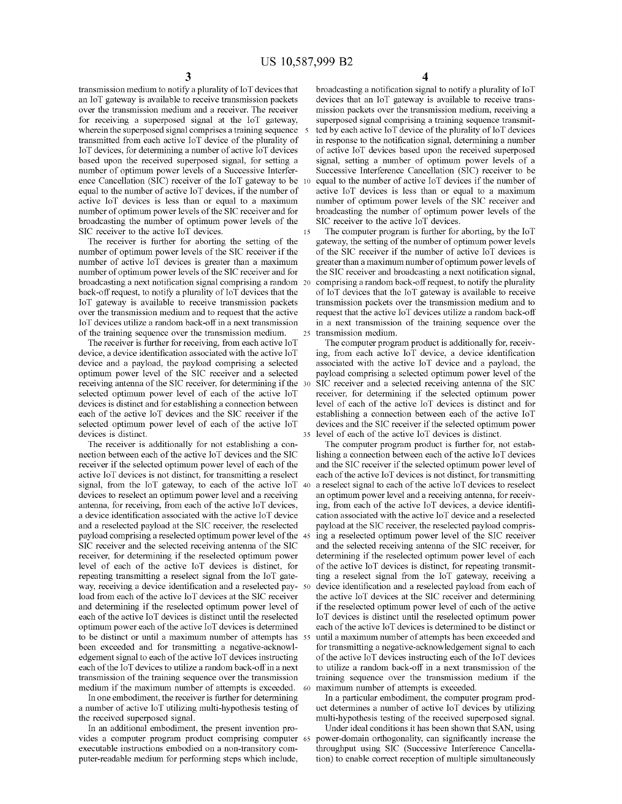transmission medium to notify a plurality of 10T devices that an loT gateway is available to receive transmission packets over the transmission medium and a receiver. The receiver for receiving a superposed signal at the loT gateway, wherein the superposed signal comprises a training sequence 5 transmitted from each active loT device of the plurality of loT devices, for determining a number of active loT devices based upon the received superposed signal, for setting a number of optimum power levels of a Successive Interference Cancellation (SIC) receiver of the loT gateway to be equal to the number of active loT devices, if the number of active loT devices is less than or equal to a maximum number of optimum power levels of the SIC receiver and for broadcasting the number of optimum power levels of the SIC receiver to the active loT devices.

The receiver is further for aborting the setting of the number of optimum power levels of the SIC receiver if the number of active loT devices is greater than a maximum number of optimum power levels of the SIC receiver and for broadcasting a next notification signal comprising a random back-off request, to notify a plurality of IoT devices that the loT gateway is available to receive transmission packets over the transmission medium and to request that the active loT devices utilize a random back-off in a next transmission of the training sequence over the transmission medium.

The receiver is further for receiving, from each active loT device, a device identification associated with the active loT device and a payload, the payload comprising a selected optimum power level of the SIC receiver and a selected receiving antenna of the SIC receiver, for determining if the 30 selected optimum power level of each of the active loT devices is distinct and for establishing a connection between each of the active loT devices and the SIC receiver if the selected optimum power level of each of the active loT devices is distinct.

The receiver is additionally for not establishing a connection between each of the active IoT devices and the SIC receiver if the selected optimum power level of each of the active loT devices is not distinct, for transmitting a reselect signal, from the loT gateway, to each of the active loT 40 a reselect signal to each ofthe active loT devices to reselect devices to reselect an optimum power level and a receiving antenna, for receiving, from each of the active loT devices, a device identification associated with the active loT device and a reselected payload at the SIC receiver, the reselected payload comprising a reselected optimum power level of the 45 SIC receiver and the selected receiving antenna of the SIC receiver, for detennining if the reselected optimum power level of each of the active loT devices is distinct, for repeating transmitting a reselect signal from the loT gateway, receiving a device identification and a reselected payload from each of the active loT devices at the SIC receiver and detennining if the reselected optimum power level of each of the active loT devices is distinct until the reselected  $optimum$  power each of the active IoT devices is determined to be distinct or until a maximum number of attempts has been exceeded and for transmitting a negative-acknowledgement signal to each of the active  $I \circ T$  devices instructing each of the IoT devices to utilize a random back-off in a next transmission of the training sequence over the transmission medium if the maximum number of attempts is exceeded.

In one embodiment, the receiver is further for detennining a number of active loT utilizing multi-hypothesis testing of the received superposed signal.

In an additional embodiment, the present invention provides a computer program product comprising computer 65 executable instructions embodied on a non-transitory computer-readable medium for perfonning steps which include,

4

broadcasting a notification signal to notify a plurality of IoT devices that an loT gateway is available to receive transmission packets over the transmission medium, receiving a superposed signal comprising a training sequence transmitted by each active IoT device of the plurality of IoT devices in response to the notification signal, determining a number of active loT devices based upon the received superposed signal, setting a number of optimum power levels of a Successive Interference Cancellation (SIC) receiver to be equal to the number of active IoT devices if the number of active loT devices is less than or equal to a maximum number of optimum power levels of the SIC receiver and broadcasting the number of optimum power levels of the SIC receiver to the active loT devices.

15 The computer program is further for aborting, by the loT gateway, the setting of the number of optimum power levels of the SIC receiver if the number of active loT devices is greater than a maximum number of optimum power levels of the SIC receiver and broadcasting a next notification signal, comprising a random back-off request, to notify the plurality of loT devices that the loT gateway is available to receive transmission packets over the transmission medium and to request that the active loT devices utilize a random back-off in a next transmission of the training sequence over the 25 transmission medium.

The computer program product is additionally for, receiving, from each active loT device, a device identification associated with the active loT device and a payload, the payload comprising a selected optimum power level of the SIC receiver and a selected receiving antenna of the SIC receiver, for detennining if the selected optimum power level of each of the active loT devices is distinct and for establishing a connection between each of the active loT devices and the SIC receiver if the selected optimum power <sup>35</sup> level of each of the active loT devices is distinct.

The computer program product is further for, not establishing a connection between each of the active IoT devices and the SIC receiver if the selected optimum power level of each of the active IoT devices is not distinct, for transmitting an optimum power level and a receiving antenna, for receiving, from each of the active loT devices, a device identification associated with the active loT device and a reselected payload at the SIC receiver, the reselected payload comprising a reselected optimum power level of the SIC receiver and the selected receiving antenna of the SIC receiver, for determining if the reselected optimum power level of each of the active loT devices is distinct, for repeating transmitting a reselect signal from the loT gateway, receiving a device identification and a reselected payload from each of the active loT devices at the SIC receiver and detennining if the reselected optimum power level of each of the active loT devices is distinct until the reselected optimum power each of the active IoT devices is determined to be distinct or until a maximum number of attempts has been exceeded and for transmitting a negative-acknowledgement signal to each of the active IoT devices instructing each of the IoT devices to utilize a random back-off in a next transmission of the training sequence over the transmission medium if the maximum number of attempts is exceeded.

In a particular embodiment, the computer program product determines a number of active loT devices by utilizing multi-hypothesis testing of the received superposed signal.

Under ideal conditions it has been shown that SAN, using power-domain orthogonality, can significantly increase the throughput using SIC (Successive Interference Cancellation) to enable correct reception of multiple simultaneously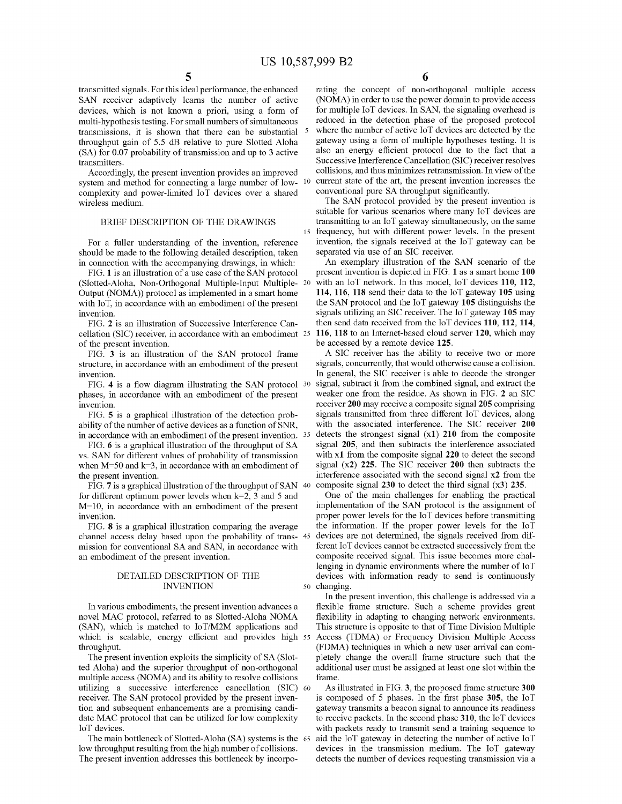transmitted signals. For this ideal perfonnance, the enhanced SAN receiver adaptively leams the number of active devices, which is not known a priori, using a fonn of multi-hypothesis testing. For small numbers of simultaneous transmissions, it is shown that there can be substantial throughput gain of 5.5 dB relative to pure Slotted Aloha  $(SA)$  for 0.07 probability of transmission and up to 3 active transmitters.

Accordingly, the present invention provides an improved system and method for connecting a large number of low- <sup>10</sup> complexity and power-limited loT devices over a shared wireless medium.

#### BRIEF DESCRIPTION OF THE DRAWINGS

For a fuller understanding of the invention, reference should be made to the following detailed description, taken in connection with the accompanying drawings, in which:

FIG. 1 is an illustration of a use case of the SAN protocol (Slotted-Aloha, Non-Orthogonal Multiple-Input Multiple-Output (NOMA)) protocol as implemented in a smart home with IoT, in accordance with an embodiment of the present invention.

FIG. 2 is an illustration of Successive Interference Cancellation (SIC) receiver, in accordance with an embodiment 25 of the present invention.

FIG. 3 is an illustration of the SAN protocol frame structure, in accordance with an embodiment of the present invention.

FIG. 4 is a flow diagram illustrating the SAN protocol 30 phases, in accordance with an embodiment of the present invention.

FIG. 5 is a graphical illustration of the detection probability of the number of active devices as a function of SNR, in accordance with an embodiment of the present invention. 35

FIG. 6 is a graphical illustration of the throughput of SA vs. SAN for different values of probability of transmission when  $M=50$  and  $k=3$ , in accordance with an embodiment of the present invention.

FIG. 7 is a graphical illustration of the throughput of SAN  $40$ for different optimum power levels when  $k=2$ , 3 and 5 and M=lO, in accordance with an embodiment of the present invention.

FIG. 8 is a graphical illustration comparing the average channel access delay based upon the probability of transmission for conventional SA and SAN, in accordance with an embodiment of the present invention.

## DETAILED DESCRIPTION OF THE INVENTION

In various embodiments, the present invention advances a novel MAC protocol, referred to as Slotted-Aloha NOMA (SAN), which is matched to IoT/M2M applications and which is scalable, energy efficient and provides high 55 throughput.

The present invention exploits the simplicity of SA (Slotted Aloha) and the superior throughput of non-orthogonal multiple access (NOMA) and its ability to resolve collisions utilizing a successive interference cancellation (SIC) 60 receiver. The SAN protocol provided by the present invention and subsequent enhancements are a promising candidate MAC protocol that can be utilized for low complexity loT devices.

The main bottleneck of Slotted-Aloha (SA) systems is the 65 low throughput resulting from the high number of collisions. The present invention addresses this bottleneck by incorpo-

rating the concept of non-orthogonal multiple access (NOMA) in order to use the power domain to provide access for multiple loT devices. In SAN, the signaling overhead is reduced in the detection phase of the proposed protocol where the number of active loT devices are detected by the gateway using a fonn of multiple hypotheses testing. It is also an energy efficient protocol due to the fact that a Successive Interference Cancellation (SIC) receiver resolves collisions, and thus minimizes retransmission. In view ofthe current state of the art, the present invention increases the conventional pure SA throughput significantly.

The SAN protocol provided by the present invention is suitable for various scenarios where many loT devices are transmitting to an loT gateway simultaneously, on the same 15 frequency, but with different power levels. In the present invention, the signals received at the loT gateway can be separated via use of an SIC receiver.

An exemplary illustration of the SAN scenario of the present invention is depicted in FIG. 1 as a smart home 100 with an IoT network. In this model, IoT devices 110, 112, 114, 116, 118 send their data to the loT gateway 105 using the SAN protocol and the loT gateway 105 distinguishs the signals utilizing an SIC receiver. The loT gateway 105 may then send data received from the loT devices 110, 112, 114, 116, 118 to an Internet-based cloud server 120, which may be accessed by a remote device 125.

A SIC receiver has the ability to receive two or more signals, concurrently, that would otherwise cause a collision. In general, the SIC receiver is able to decode the stronger signal, subtract it from the combined signal, and extract the weaker one from the residue. As shown in FIG. 2 an SIC receiver 200 may receive a composite signal 205 comprising signals transmitted from three different loT devices, along with the associated interference. The SIC receiver 200 detects the strongest signal  $(x1)$  210 from the composite signal 205, and then subtracts the interference associated with x1 from the composite signal 220 to detect the second signal (x2) 225. The SIC receiver 200 then subtracts the interference associated with the second signal x2 from the composite signal  $230$  to detect the third signal  $(x3)$   $235$ .

One of the main challenges for enabling the practical implementation of the SAN protocol is the assignment of proper power levels for the loT devices before transmitting the information. If the proper power levels for the loT devices are not determined, the signals received from different loT devices carmot be extracted successively from the composite received signal. This issue becomes more challenging in dynamic environments where the number of loT devices with information ready to send is continuously 50 changing.

In the present invention, this challenge is addressed via a flexible frame structure. Such a scheme provides great flexibility in adapting to changing network environments. This structure is opposite to that of Time Division Multiple Access (TDMA) or Frequency Division Multiple Access (FDMA) techniques in which a new user arrival can completely change the overall frame structure such that the additional user must be assigned at least one slot within the frame.

As illustrated in FIG. 3, the proposed frame structure 300 is composed of 5 phases. In the first phase 305, the loT gateway transmits a beacon signal to announce its readiness to receive packets. In the second phase 310, the loT devices with packets ready to transmit send a training sequence to aid the IoT gateway in detecting the number of active IoT devices in the transmission medium. The loT gateway detects the number of devices requesting transmission via a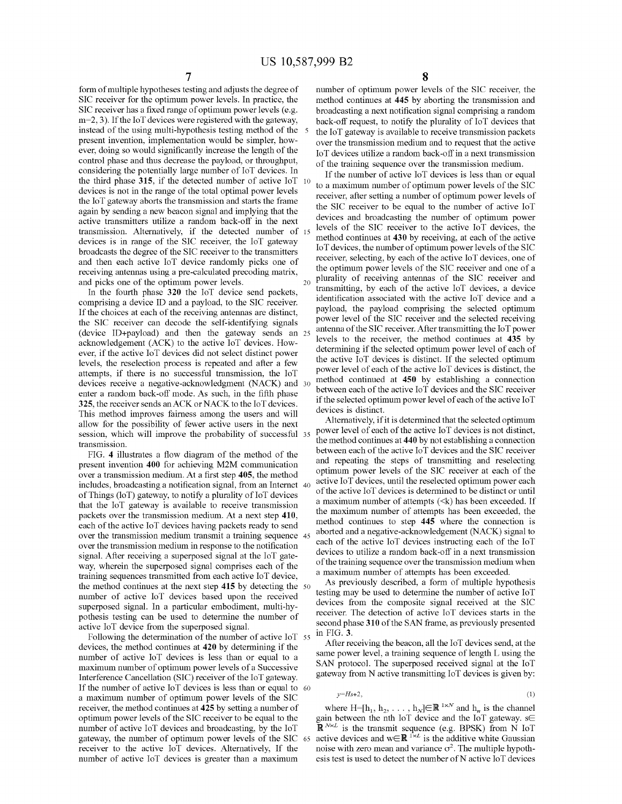form of multiple hypotheses testing and adjusts the degree of SIC receiver for the optimum power levels. In practice, the SIC receiver has a fixed range of optimum power levels (e.g.  $m=2, 3$ ). If the IoT devices were registered with the gateway, instead of the using multi-hypothesis testing method of the 5 present invention, implementation would be simpler, however, doing so would significantly increase the length of the control phase and thus decrease the payload, or throughput, considering the potentially large number of loT devices. In the third phase **315,** if the detected number of active loT <sup>10</sup> devices is not in the range of the total optimal power levels the loT gateway aborts the transmission and starts the frame again by sending a new beacon signal and implying that the active transmitters utilize a random back-off in the next transmission. Alternatively, if the detected number of <sup>15</sup> devices is in range of the SIC receiver, the loT gateway broadcasts the degree of the SIC receiver to the transmitters and then each active loT device randomly picks one of receiving antennas using a pre-calculated precoding matrix, and picks one of the optimum power levels.

In the fourth phase **320** the loT device send packets, comprising a device ID and a payload, to the SIC receiver. If the choices at each of the receiving antennas are distinct, the SIC receiver can decode the self-identifying signals (device ID+payload) and then the gateway sends an 25 acknowledgement (ACK) to the active loT devices. However, if the active loT devices did not select distinct power levels, the reselection process is repeated and after a few attempts, if there is no successful transmission, the loT devices receive a negative-acknowledgment (NACK) and 30 enter a random back-off mode. As such, in the fifth phase **325,** the receiver sends anACK or NACK to the loT devices. This method improves fairness among the users and will allow for the possibility of fewer active users in the next session, which will improve the probability of successful <sup>35</sup> transmission.

FIG. 4 illustrates a flow diagram of the method of the present invention **400** for achieving M2M communication over a transmission medium. At a first step **405,** the method includes, broadcasting a notification signal, from an Internet 40 of Things ( $\text{loT}$ ) gateway, to notify a plurality of  $\text{IoT}$  devices that the loT gateway is available to receive transmission packets over the transmission medium. At a next step **410,** each of the active IoT devices having packets ready to send over the transmission medium transmit a training sequence 45 over the transmission medium in response to the notification signal. After receiving a superposed signal at the loT gateway, wherein the superposed signal comprises each of the training sequences transmitted from each active loT device the method continues at the next step 415 by detecting the 50 number of active loT devices based upon the received superposed signal. In a particular embodiment, multi-hypothesis testing can be used to determine the number of active loT device from the superposed signal.

Following the determination of the number of active IoT 55 devices, the method continues at **420** by determining if the number of active loT devices is less than or equal to a maximum number of optimum power levels of a Successive Interference Cancellation (SIC) receiver of the IoT gateway. If the number of active IoT devices is less than or equal to  $60$ a maximum number of optimum power levels of the SIC receiver, the method continues at **425** by setting a number of optimum power levels of the SIC receiver to be equal to the number of active loT devices and broadcasting, by the loT gateway, the number of optimum power levels of the SIC <sup>65</sup> receiver to the active loT devices. Alternatively, If the number of active loT devices is greater than a maximum

number of optimum power levels of the SIC receiver, the method continues at **445** by aborting the transmission and broadcasting a next notification signal comprising a random back-off request, to notify the plurality of IoT devices that the loT gateway is available to receive transmission packets over the transmission medium and to request that the active loT devices utilize a random back-off in a next transmission of the training sequence over the transmission medium.

If the number of active IoT devices is less than or equal to a maximum number of optimum power levels of the SIC receiver, after setting a number of optimum power levels of the SIC receiver to be equal to the number of active loT devices and broadcasting the number of optimum power levels of the SIC receiver to the active IoT devices, the method continues at 430 by receiving, at each of the active 10T devices, the number of optimum power levels ofthe SIC receiver, selecting, by each of the active IoT devices, one of the optimum power levels of the SIC receiver and one of a  $_{20}$  plurality of receiving antennas of the SIC receiver and transmitting, by each of the active loT devices, a device identification associated with the active loT device and a payload, the payload comprising the selected optimum power level of the SIC receiver and the selected receiving antenna of the SIC receiver. After transmitting the IoT power levels to the receiver, the method continues at **435** by determining if the selected optimum power level of each of the active loT devices is distinct. If the selected optimum power level of each of the active IoT devices is distinct, the method continued at 450 by establishing a connection between each of the active  $I \circ \overline{I}$  devices and the SIC receiver if the selected optimum power level of each of the active  $I \circ T$ devices is distinct.

Alternatively, if it is determined that the selected optimum power level of each of the active IoT devices is not distinct, the method continues at 440 by not establishing a connection between each of the active IoT devices and the SIC receiver and repeating the steps of transmitting and reselecting optimum power levels of the SIC receiver at each of the active loT devices, until the reselected optimum power each of the active IoT devices is determined to be distinct or until a maximum number of attempts  $(\leq k)$  has been exceeded. If the maximum number of attempts has been exceeded, the method continues to step **445** where the connection is aborted and a negative-acknowledgement (NACK) signal to each of the active loT devices instructing each of the loT devices to utilize a random back-off in a next transmission of the training sequence over the transmission medium when a maximum number of attempts has been exceeded.

As previously described, a form of multiple hypothesis testing may be used to determine the number of active loT devices from the composite signal received at the SIC receiver. The detection of active loT devices starts in the second phase 310 of the SAN frame, as previously presented in FIG. 3.

After receiving the beacon, all the loT devices send, at the same power level, a training sequence of length L using the SAN protocol. The superposed received signal at the loT gateway from N active transmitting loT devices is given by:

$$
y=Hs+2,\tag{1}
$$

where  $H=[h_1, h_2, \ldots, h_N] \in \mathbb{R}^{1 \times N}$  and  $h_n$  is the channel gain between the nth IoT device and the IoT gateway.  $s \in$ R *NxL* is the transmit sequence (e.g. BPSK) from N loT active devices and wER *1xL* is the additive white Gaussian noise with zero mean and variance  $\sigma^2$ . The multiple hypothesis test is used to detect the number of N active IoT devices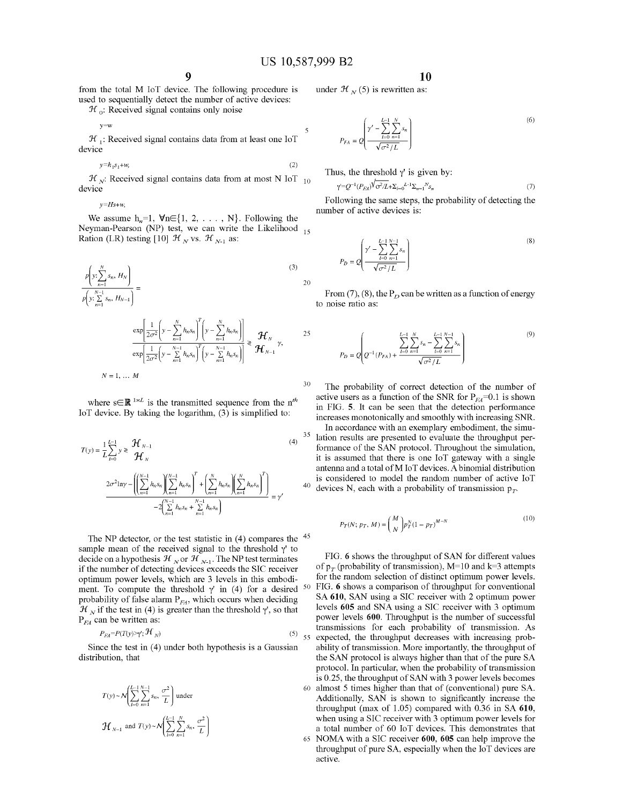from the total M loT device. The following procedure is used to sequentially detect the number of active devices:

 $\mathcal{H}_{\alpha}$ : Received signal contains only noise

y=w

 ${\cal H}_1$ : Received signal contains data from at least one IoT device

$$
y=h_1s_1+w,\tag{2}
$$

 $\mathcal{H}_{N}$ : Received signal contains data from at most N IoT  $_{10}$ device

 $v=Hs+w$ 

We assume  $h_n=1$ ,  $\forall n \in \{1, 2, \ldots, N\}$ . Following the Neyman-Pearson (NP) test, we can write the Likelihood  $_{15}$ Ration (LR) testing [10]  $\mathcal{H}_{N}$  vs.  $\mathcal{H}_{N-1}$  as:

$$
\frac{p\left(y; \sum_{n=1}^{N} s_n, H_N\right)}{p\left(y; \sum_{n=1}^{N-1} s_n, H_{N-1}\right)} = \frac{\exp\left[\frac{1}{2\sigma^2} \left(y - \sum_{n=1}^{N} h_n s_n\right)^T \left(y - \sum_{n=1}^{N} h_n s_n\right)\right]}{\exp\left[\frac{1}{2\sigma^2} \left(y - \sum_{n=1}^{N-1} h_n s_n\right)^T \left(y - \sum_{n=1}^{N-1} h_n s_n\right)\right]} \geq \mathcal{H}_N \qquad 25
$$
\n
$$
N = 1, \dots M
$$
\n(3)

where  $s \in \mathbb{R}^{1 \times L}$  is the transmitted sequence from the *n<sup>th</sup>* loT device. By taking the logarithm, (3) is simplified to:

$$
T(y) = \frac{1}{L} \sum_{l=0}^{L-1} y \ge \frac{\mathcal{H}_{N-1}}{\mathcal{H}_{N}}
$$
\n
$$
\frac{2\sigma^2 \ln y - \left( \left( \sum_{n=1}^{N-1} h_n s_n \right) \left( \sum_{n=1}^{N-1} h_n s_n \right)^T + \left( \sum_{n=1}^{N} h_n s_n \right) \left( \sum_{n=1}^{N} h_n s_n \right)^T \right)}{-2 \left( \sum_{n=1}^{N-1} h_n s_n + \sum_{n=1}^{N-1} h_n s_n \right)} = \gamma'
$$
\n(4)

The NP detector, or the test statistic in  $(4)$  compares the  $45$ sample mean of the received signal to the threshold  $\gamma'$  to decide on a hypothesis  $\mathcal{H}_{N}$  or  $\mathcal{H}_{N-1}$ . The NP test terminates if the number of detecting devices exceeds the SIC receiver optimum power levels, which are 3 levels in this embodiment. To compute the threshold  $\gamma$ <sup>'</sup> in (4) for a desired probability of false alarm  $P_{EA}$ , which occurs when deciding  $\mathcal{H}_N$  if the test in (4) is greater than the threshold  $\gamma'$ , so that P*FA* can be written as:

$$
P_{EA} = P(T(y) \gamma'; \mathcal{H}_N) \tag{5}
$$

Since the test in (4) under both hypothesis is a Gaussian distribution, that

$$
T(y) \sim \mathcal{N}\left(\sum_{l=0}^{L-1} \sum_{n=1}^{N-1} s_n, \frac{\sigma^2}{L}\right)
$$
 under  

$$
\mathcal{H}_{N-1}
$$
 and  $T(y) \sim \mathcal{N}\left(\sum_{l=0}^{L-1} \sum_{n=1}^{N} s_n, \frac{\sigma^2}{L}\right)$ 

$$
10
$$

under  $\mathcal{H}_{N}(5)$  is rewritten as:

(6) 
$$
P_{FA} = Q \left( \frac{\gamma' - \sum_{l=0}^{L-1} \sum_{n=1}^{N} s_n}{\sqrt{\sigma^2 / L}} \right)
$$

Thus, the threshold  $\gamma'$  is given by:

$$
\gamma = Q^{-1} (P_{FA})^{\sqrt{2}} Q^{-1} L + \sum_{i=0}^{L-1} \sum_{n=1}^{N} S_n \tag{7}
$$

Following the same steps, the probability of detecting the number of active devices is:

$$
P_D = Q \left( \frac{\gamma' - \sum_{l=0}^{L-1} \sum_{n=1}^{N-1} s_n}{\sqrt{\sigma^2 / L}} \right)
$$
\n(8)

From (7), (8), the  $P_D$  can be written as a function of energy to noise ratio as:

$$
P_D = Q \left( Q^{-1} (P_{FA}) + \frac{\sum_{i=0}^{L-1} \sum_{n=1}^{N} s_n - \sum_{i=0}^{L-1} \sum_{n=1}^{N-1} s_n}{\sqrt{\sigma^2 / L}} \right)
$$
(9)

<sup>30</sup> The probability of correct detection of the number of active users as a function of the SNR for  $P_{FA}=0.1$  is shown in FIG. 5. It can be seen that the detection performance increases monotonically and smoothly with increasing SNR. In accordance with an exemplary embodiment, the simu-

 $35$  lation results are presented to evaluate the throughput performance of the SAN protocol. Throughout the simulation, it is assumed that there is one loT gateway with a single antenna and a total of M IoT devices. A binomial distribution is considered to model the random number of active loT <sup>40</sup> devices N, each with a probability of transmission  $p_T$ .

$$
P_T(N; p_T, M) = {M \choose N} p_T^N (1 - p_T)^{M - N}
$$
\n(10)

FIG. 6 shows the throughput of SAN for different values of  $p_T$  (probability of transmission), M=10 and k=3 attempts for the random selection of distinct optimum power levels. FIG. 6 shows a comparison of throughput for conventional SA 610, SAN using a SIC receiver with 2 optimum power levels 605 and SNA using a SIC receiver with 3 optimum power levels 600. Throughput is the number of successful transmissions for each probability of transmission. As 55 expected, the throughput decreases with increasing probability of transmission. More importantly, the throughput of the SAN protocol is always higher than that of the pure SA protocol. In particular, when the probability of transmission is 0.25, the throughput of SAN with 3 power levels becomes <sup>60</sup> almost 5 times higher than that of (conventional) pure SA. Additionally, SAN is shown to significantly increase the throughput (max of 1.05) compared with 0.36 in SA 610, when using a SIC receiver with 3 optimum power levels for a total number of 60 loT devices. This demonstrates that 65 NOMA with a SIC receiver 600, 605 can help improve the throughput of pure SA, especially when the loT devices are

active.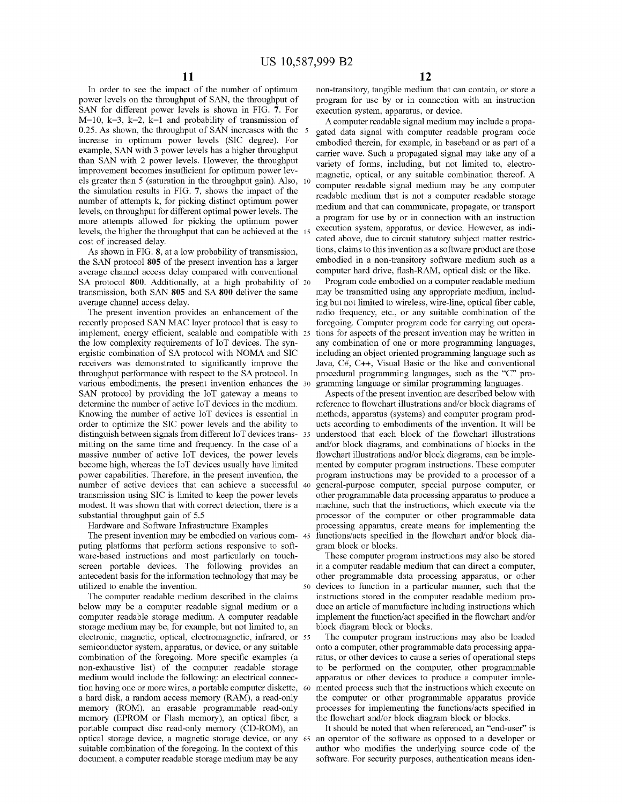In order to see the impact of the number of optimum power levels on the throughput of SAN, the throughput of SAN for different power levels is shown in FIG. 7. For  $M=10$ ,  $k=3$ ,  $k=2$ ,  $k=1$  and probability of transmission of 0.25. As shown, the throughput of SAN increases with the increase in optimum power levels (SIC degree). For example, SAN with 3 power levels has a higher throughput than SAN with 2 power levels. However, the throughput improvement becomes insufficient for optimum power levels greater than 5 (saturation in the throughput gain). Also, the simulation results in FIG. 7, shows the impact of the number of attempts k, for picking distinct optimum power levels, on throughput for different optimal power levels. The more attempts allowed for picking the optimum power levels, the higher the throughput that can be achieved at the cost of increased delay.

As shown in FIG.  $8$ , at a low probability of transmission, the SAN protocol **805** of the present invention has a larger average channel access delay compared with conventional SA protocol 800. Additionally, at a high probability of <sup>20</sup> transmission, both SAN **805** and SA **800** deliver the same average channel access delay.

The present invention provides an enhancement of the recently proposed SAN MAC layer protocol that is easy to implement, energy efficient, scalable and compatible with 25 the low complexity requirements of loT devices. The synergistic combination of SA protocol with NOMA and SIC receivers was demonstrated to significantly improve the throughput performance with respect to the SA protocol. In various embodiments, the present invention enhances the SAN protocol by providing the loT gateway a means to determine the number of active loT devices in the medium. Knowing the number of active loT devices is essential in order to optimize the SIC power levels and the ability to distinguish between signals from different loT devices transmitting on the same time and frequency. In the case of a massive number of active loT devices, the power levels become high, whereas the loT devices usually have limited power capabilities. Therefore, in the present invention, the number of active devices that can achieve a successful transmission using SIC is limited to keep the power levels modest. It was shown that with correct detection, there is a substantial throughput gain of 5.5

Hardware and Software Infrastructure Examples

The present invention may be embodied on various computing platforms that perform actions responsive to software-based instructions and most particularly on touchscreen portable devices. The following provides an antecedent basis for the information technology that may be utilized to enable the invention.

The computer readable medium described in the claims below may be a computer readable signal medium or a computer readable storage medium. A computer readable storage medium may be, for example, but not limited to, an electronic, magnetic, optical, electromagnetic, infrared, or 55 semiconductor system, apparatus, or device, or any suitable combination of the foregoing. More specific examples (a non-exhaustive list) of the computer readable storage medium would include the following: an electrical connection having one or more wires, a portable computer diskette, a hard disk, a random access memory (RAM), a read-only memory (ROM), an erasable programmable read-only memory (EPROM or Flash memory), an optical fiber, a portable compact disc read-only memory (CD-ROM), an optical storage device, a magnetic storage device, or any suitable combination of the foregoing. In the context of this document, a computer readable storage medium may be any

non-transitory, tangible medium that can contain, or store a program for use by or in connection with an instruction execution system, apparatus, or device.

A computer readable signal medium may include a propagated data signal with computer readable program code embodied therein, for example, in baseband or as part of a carrier wave. Such a propagated signal may take any of a variety of forms, including, but not limited to, electromagnetic, optical, or any suitable combination thereof. A computer readable signal medium may be any computer readable medium that is not a computer readable storage medium and that can communicate, propagate, or transport a program for use by or in connection with an instruction execution system, apparatus, or device. However, as indicated above, due to circuit statutory subject matter restrictions, claims to this invention as a software product are those embodied in a non-transitory software medium such as a computer hard drive, flash-RAM, optical disk or the like.

Program code embodied on a computer readable medium may be transmitted using any appropriate medium, including but not limited to wireless, wire-line, optical fiber cable, radio frequency, etc., or any suitable combination of the foregoing. Computer program code for carrying out operations for aspects of the present invention may be written in any combination of one or more programming languages, including an object oriented programming language such as Java, C#, C++, Visual Basic or the like and conventional procedural programming languages, such as the "C" programming language or similar programming languages.

Aspects of the present invention are described below with reference to flowchart illustrations and/or block diagrams of methods, apparatus (systems) and computer program products according to embodiments of the invention. It will be understood that each block of the flowchart illustrations and/or block diagrams, and combinations of blocks in the flowchart illustrations and/or block diagrams, can be implemented by computer program instructions. These computer program instructions may be provided to a processor of a general-purpose computer, special purpose computer, or other programmable data processing apparatus to produce a machine, such that the instructions, which execute via the processor of the computer or other programmable data processing apparatus, create means for implementing the functions/acts specified in the flowchart and/or block diagram block or blocks.

These computer program instructions may also be stored in a computer readable medium that can direct a computer, other programmable data processing apparatus, or other devices to function in a particular manner, such that the instructions stored in the computer readable medium produce an article of manufacture including instructions which implement the function/act specified in the flowchart and/or block diagram block or blocks.

The computer program instructions may also be loaded onto a computer, other programmable data processing apparatus, or other devices to cause a series of operational steps to be performed on the computer, other programmable apparatus or other devices to produce a computer implemented process such that the instructions which execute on the computer or other programmable apparatus provide processes for implementing the functions/acts specified in the flowchart and/or block diagram block or blocks.

It should be noted that when referenced, an "end-user" is an operator of the software as opposed to a developer or author who modifies the underlying source code of the software. For security purposes, authentication means iden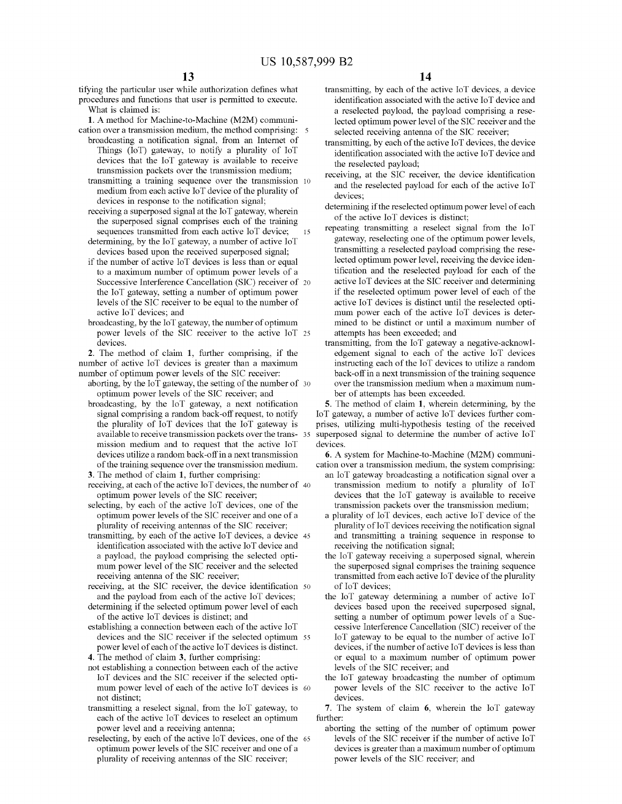tifying the particular user while authorization defines what procedures and functions that user is pennitted to execute. What is claimed is:

1. A method for Machine-to-Machine (M2M) communication over a transmission medium, the method comprising:

- broadcasting a notification signal, from an Internet of Things  $(IoT)$  gateway, to notify a plurality of  $IoT$ devices that the loT gateway is available to receive transmission packets over the transmission medium;
- transmitting a training sequence over the transmission 10 medium from each active  $I \circ T$  device of the plurality of devices in response to the notification signal;
- 15 receiving a superposed signal at the loT gateway, wherein the superposed signal comprises each of the training sequences transmitted from each active loT device;
- detennining, by the loT gateway, a number of active loT devices based upon the received superposed signal;
- if the number of active loT devices is less than or equal to a maximum number of optimum power levels of a Successive Interference Cancellation (SIC) receiver of <sup>20</sup> the loT gateway, setting a number of optimum power levels of the SIC receiver to be equal to the number of active loT devices; and
- broadcasting, by the loT gateway, the number of optimum power levels of the SIC receiver to the active loT <sup>25</sup> devices.

2. The method of claim **1,** further comprising, if the number of active loT devices is greater than a maximum number of optimum power levels of the SIC receiver:

- aborting, by the IoT gateway, the setting of the number of  $30$ optimum power levels of the SIC receiver; and
- broadcasting, by the loT gateway, a next notification signal comprising a random back-off request, to notify the plurality of loT devices that the loT gateway is available to receive transmission packets over the transmission medium and to request that the active loT devices utilize a random back-offin a next transmission of the training sequence over the transmission medium.
- 3. The method of claim **1,** further comprising:
- receiving, at each of the active IoT devices, the number of  $40$ optimum power levels of the SIC receiver;
- selecting, by each of the active loT devices, one of the optimum power levels of the SIC receiver and one of a plurality of receiving antennas of the SIC receiver;
- transmitting, by each of the active loT devices, a device <sup>45</sup> identification associated with the active loT device and a payload, the payload comprising the selected optimum power level of the SIC receiver and the selected receiving antenna of the SIC receiver;
- receiving, at the SIC receiver, the device identification 50 and the payload from each of the active loT devices;
- determining if the selected optimum power level of each of the active loT devices is distinct; and
- establishing a connection between each of the active IoT devices and the SIC receiver if the selected optimum <sup>55</sup> power level of each of the active IoT devices is distinct. 4. The method of claim 3, further comprising:
- not establishing a connection between each of the active loT devices and the SIC receiver if the selected optimum power level of each of the active loT devices is <sup>60</sup> not distinct;
- transmitting a reselect signal, from the loT gateway, to each of the active loT devices to reselect an optimum power level and a receiving antenna;
- reselecting, by each of the active loT devices, one of the <sup>65</sup> optimum power levels of the SIC receiver and one of a plurality of receiving antennas of the SIC receiver;
- transmitting, by each of the active loT devices, a device identification associated with the active loT device and a reselected payload, the payload comprising a reselected optimum power level of the SIC receiver and the selected receiving antenna of the SIC receiver;
- transmitting, by each of the active  $I \circ T$  devices, the device identification associated with the active loT device and the reselected payload;
- receiving, at the SIC receiver, the device identification and the reselected payload for each of the active loT devices;
- determining if the reselected optimum power level of each of the active loT devices is distinct;
- repeating transmitting a reselect signal from the loT gateway, reselecting one of the optimum power levels, transmitting a reselected payload comprising the reselected optimum power level, receiving the device identification and the reselected payload for each of the active loT devices at the SIC receiver and detennining if the reselected optimum power level of each of the active loT devices is distinct until the reselected optimum power each of the active loT devices is determined to be distinct or until a maximum number of attempts has been exceeded; and
- transmitting, from the loT gateway a negative-acknowledgement signal to each of the active loT devices instructing each of the IoT devices to utilize a random back-off in a next transmission of the training sequence over the transmission medium when a maximum number of attempts has been exceeded.

5. The method of claim **1,** wherein detennining, by the loT gateway, a number of active loT devices further comprises, utilizing multi-hypothesis testing of the received superposed signal to determine the number of active IoT devices.

6. A system for Machine-to-Machine (M2M) communication over a transmission medium, the system comprising:

- an loT gateway broadcasting a notification signal over a transmission medium to notify a plurality of loT devices that the loT gateway is available to receive transmission packets over the transmission medium;
- a plurality of loT devices, each active loT device of the plurality of IoT devices receiving the notification signal and transmitting a training sequence in response to receiving the notification signal;
- the loT gateway receiving a superposed signal, wherein the superposed signal comprises the training sequence transmitted from each active IoT device of the plurality of loT devices;
- the loT gateway detennining a number of active loT devices based upon the received superposed signal, setting a number of optimum power levels of a Successive Interference Cancellation (SIC) receiver of the loT gateway to be equal to the number of active loT devices, if the number of active IoT devices is less than or equal to a maximum number of optimum power levels of the SIC receiver; and
- the loT gateway broadcasting the number of optimum power levels of the SIC receiver to the active loT devices.

7. The system of claim 6, wherein the loT gateway further:

aborting the setting of the number of optimum power levels of the SIC receiver if the number of active loT devices is greater than a maximum number of optimum power levels of the SIC receiver; and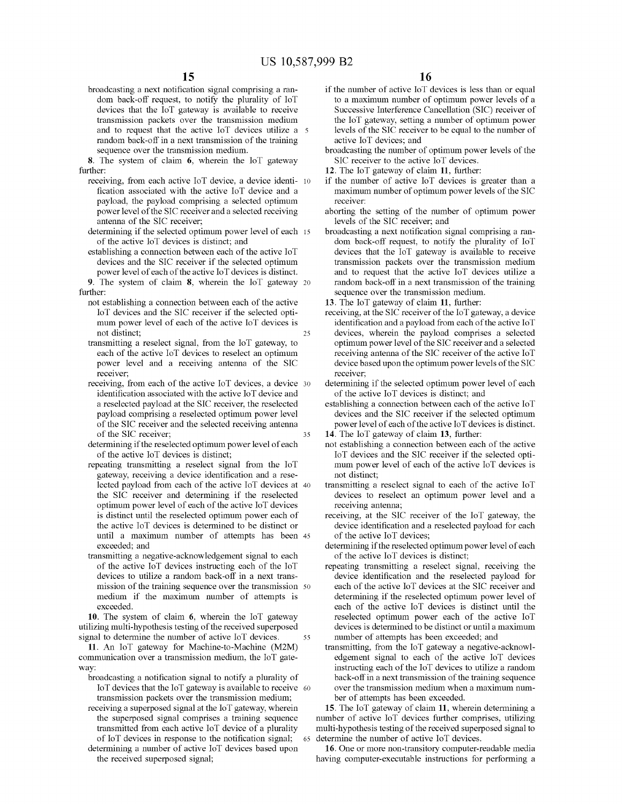broadcasting a next notification signal comprising a random back-off request, to notify the plurality of IoT devices that the loT gateway is available to receive transmission packets over the transmission medium and to request that the active loT devices utilize a random back-off in a next transmission of the training sequence over the transmission medium.

8. The system of claim 6, wherein the loT gateway further:

- receiving, from each active loT device, a device identi- 10 fication associated with the active loT device and a payload, the payload comprising a selected optimum power level of the SIC receiver and a selected receiving antenna of the SIC receiver;
- determining if the selected optimum power level of each 15 of the active loT devices is distinct; and
- establishing a connection between each of the active IoT devices and the SIC receiver if the selected optimum power level of each of the active IoT devices is distinct.

9. The system of claim 8, wherein the loT gateway <sup>20</sup> further:

- 25 not establishing a connection between each of the active loT devices and the SIC receiver if the selected optimum power level of each of the active loT devices is not distinct;
- transmitting a reselect signal, from the loT gateway, to each of the active loT devices to reselect an optimum power level and a receiving antenna of the SIC receiver;
- 35 receiving, from each of the active loT devices, a device <sup>30</sup> identification associated with the active loT device and a reselected payload at the SIC receiver, the reselected payload comprising a reselected optimum power level of the SIC receiver and the selected receiving antenna of the SIC receiver;
- determining if the reselected optimum power level of each of the active loT devices is distinct;
- repeating transmitting a reselect signal from the loT gateway, receiving a device identification and a reselected payload from each of the active loT devices at <sup>40</sup> the SIC receiver and determining if the reselected optimum power level of each of the active IoT devices is distinct until the reselected optimum power each of the active loT devices is detennined to be distinct or until a maximum number of attempts has been <sup>45</sup> exceeded; and
- transmitting a negative-acknowledgement signal to each of the active loT devices instructing each of the loT devices to utilize a random back-off in a next transmission of the training sequence over the transmission 50 medium if the maximum number of attempts is exceeded.

55 10. The system of claim 6, wherein the loT gateway utilizing multi-hypothesis testing of the received superposed signal to determine the number of active IoT devices.

11. An loT gateway for Machine-to-Machine (M2M) communication over a transmission medium, the loT gateway:

broadcasting a notification signal to notify a plurality of loT devices that the loT gateway is available to receive 60 transmission packets over the transmission medium; receiving a superposed signal at the loT gateway, wherein the superposed signal comprises a training sequence transmitted from each active loT device of a plurality of loT devices in response to the notification signal; detennining a number of active loT devices based upon the received superposed signal;

- if the number of active loT devices is less than or equal to a maximum number of optimum power levels of a Successive Interference Cancellation (SIC) receiver of the loT gateway, setting a number of optimum power levels of the SIC receiver to be equal to the number of active loT devices; and
- broadcasting the number of optimum power levels of the SIC receiver to the active loT devices.
- 12. The loT gateway of claim 11, further:
- if the number of active loT devices is greater than a maximum number of optimum power levels of the SIC receiver:
- aborting the setting of the number of optimum power levels of the SIC receiver; and
- broadcasting a next notification signal comprising a random back-off request, to notify the plurality of IoT devices that the loT gateway is available to receive transmission packets over the transmission medium and to request that the active loT devices utilize a random back-off in a next transmission of the training sequence over the transmission medium.

13. The loT gateway of claim 11, further:

- receiving, at the SIC receiver of the IoT gateway, a device identification and a payload from each of the active IoT devices, wherein the payload comprises a selected optimum power level of the SIC receiver and a selected receiving antenna of the SIC receiver of the active IoT device based upon the optimum power levels of the SIC receiver;
- determining if the selected optimum power level of each of the active loT devices is distinct; and

establishing a connection between each of the active IoT devices and the SIC receiver if the selected optimum power level of each of the active IoT devices is distinct.

14. The loT gateway of claim 13, further:

- not establishing a connection between each of the active loT devices and the SIC receiver if the selected optimum power level of each of the active loT devices is not distinct;
- transmitting a reselect signal to each of the active loT devices to reselect an optimum power level and a receiving antenna;
- receiving, at the SIC receiver of the loT gateway, the device identification and a reselected payload for each of the active loT devices;
- determining if the reselected optimum power level of each of the active loT devices is distinct;
- repeating transmitting a reselect signal, receiving the device identification and the reselected payload for each of the active loT devices at the SIC receiver and determining if the reselected optimum power level of each of the active loT devices is distinct until the reselected optimum power each of the active loT devices is determined to be distinct or until a maximum number of attempts has been exceeded; and
- transmitting, from the loT gateway a negative-acknowledgement signal to each of the active loT devices instructing each of the IoT devices to utilize a random back-off in a next transmission of the training sequence over the transmission medium when a maximum number of attempts has been exceeded.

15. The loT gateway of claim 11, wherein detennining a number of active loT devices further comprises, utilizing multi-hypothesis testing of the received superposed signal to <sup>65</sup> determine the number of active loT devices.

16. One or more non-transitory computer-readable media having computer-executable instructions for performing a